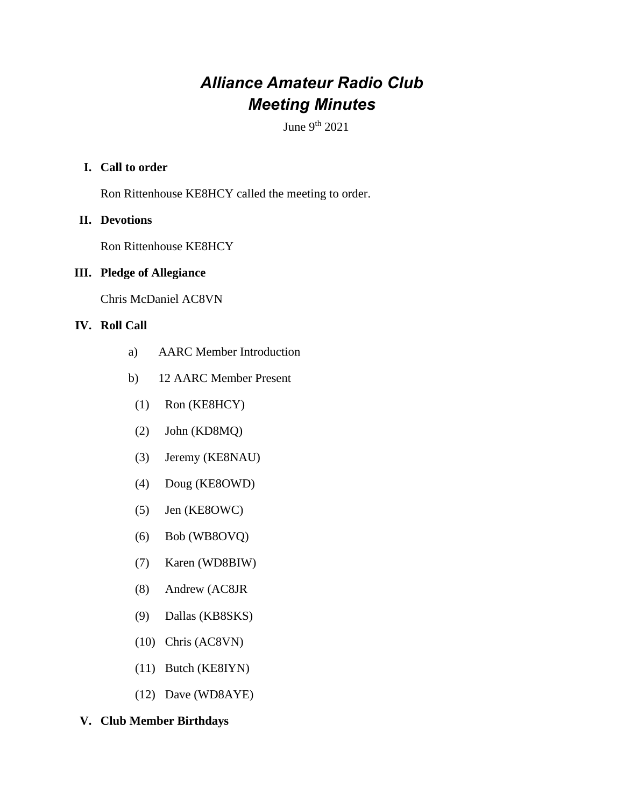# *Alliance Amateur Radio Club Meeting Minutes*

June  $9<sup>th</sup> 2021$ 

# **I. Call to order**

Ron Rittenhouse KE8HCY called the meeting to order.

# **II. Devotions**

Ron Rittenhouse KE8HCY

# **III. Pledge of Allegiance**

Chris McDaniel AC8VN

# **IV. Roll Call**

- a) AARC Member Introduction
- b) 12 AARC Member Present
- (1) Ron (KE8HCY)
- (2) John (KD8MQ)
- (3) Jeremy (KE8NAU)
- (4) Doug (KE8OWD)
- (5) Jen (KE8OWC)
- (6) Bob (WB8OVQ)
- (7) Karen (WD8BIW)
- (8) Andrew (AC8JR
- (9) Dallas (KB8SKS)
- (10) Chris (AC8VN)
- (11) Butch (KE8IYN)
- (12) Dave (WD8AYE)

## **V. Club Member Birthdays**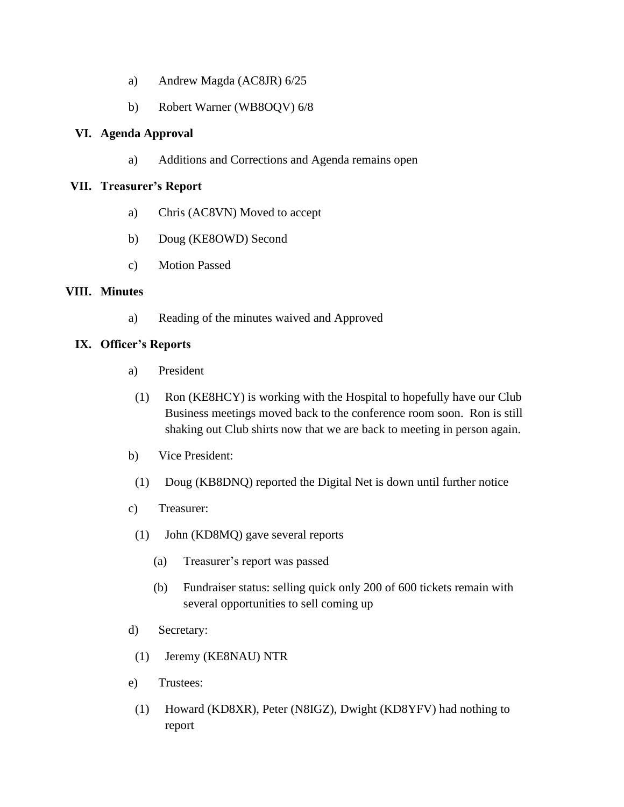- a) Andrew Magda (AC8JR) 6/25
- b) Robert Warner (WB8OQV) 6/8

## **VI. Agenda Approval**

a) Additions and Corrections and Agenda remains open

## **VII. Treasurer's Report**

- a) Chris (AC8VN) Moved to accept
- b) Doug (KE8OWD) Second
- c) Motion Passed

## **VIII. Minutes**

a) Reading of the minutes waived and Approved

## **IX. Officer's Reports**

- a) President
- (1) Ron (KE8HCY) is working with the Hospital to hopefully have our Club Business meetings moved back to the conference room soon. Ron is still shaking out Club shirts now that we are back to meeting in person again.
- b) Vice President:
- (1) Doug (KB8DNQ) reported the Digital Net is down until further notice
- c) Treasurer:
- (1) John (KD8MQ) gave several reports
	- (a) Treasurer's report was passed
	- (b) Fundraiser status: selling quick only 200 of 600 tickets remain with several opportunities to sell coming up
- d) Secretary:
- (1) Jeremy (KE8NAU) NTR
- e) Trustees:
	- (1) Howard (KD8XR), Peter (N8IGZ), Dwight (KD8YFV) had nothing to report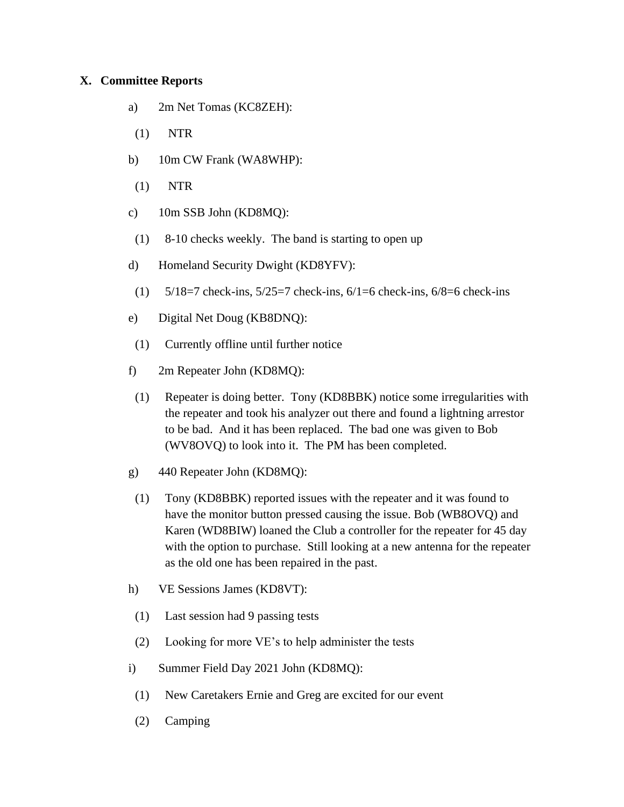## **X. Committee Reports**

- a) 2m Net Tomas (KC8ZEH):
- (1) NTR
- b) 10m CW Frank (WA8WHP):
- (1) NTR
- c) 10m SSB John (KD8MQ):
- (1) 8-10 checks weekly. The band is starting to open up
- d) Homeland Security Dwight (KD8YFV):
- (1)  $5/18=7$  check-ins,  $5/25=7$  check-ins,  $6/1=6$  check-ins,  $6/8=6$  check-ins
- e) Digital Net Doug (KB8DNQ):
- (1) Currently offline until further notice
- f) 2m Repeater John (KD8MQ):
- (1) Repeater is doing better. Tony (KD8BBK) notice some irregularities with the repeater and took his analyzer out there and found a lightning arrestor to be bad. And it has been replaced. The bad one was given to Bob (WV8OVQ) to look into it. The PM has been completed.
- g) 440 Repeater John (KD8MQ):
- (1) Tony (KD8BBK) reported issues with the repeater and it was found to have the monitor button pressed causing the issue. Bob (WB8OVQ) and Karen (WD8BIW) loaned the Club a controller for the repeater for 45 day with the option to purchase. Still looking at a new antenna for the repeater as the old one has been repaired in the past.
- h) VE Sessions James (KD8VT):
	- (1) Last session had 9 passing tests
- (2) Looking for more VE's to help administer the tests
- i) Summer Field Day 2021 John (KD8MQ):
- (1) New Caretakers Ernie and Greg are excited for our event
- (2) Camping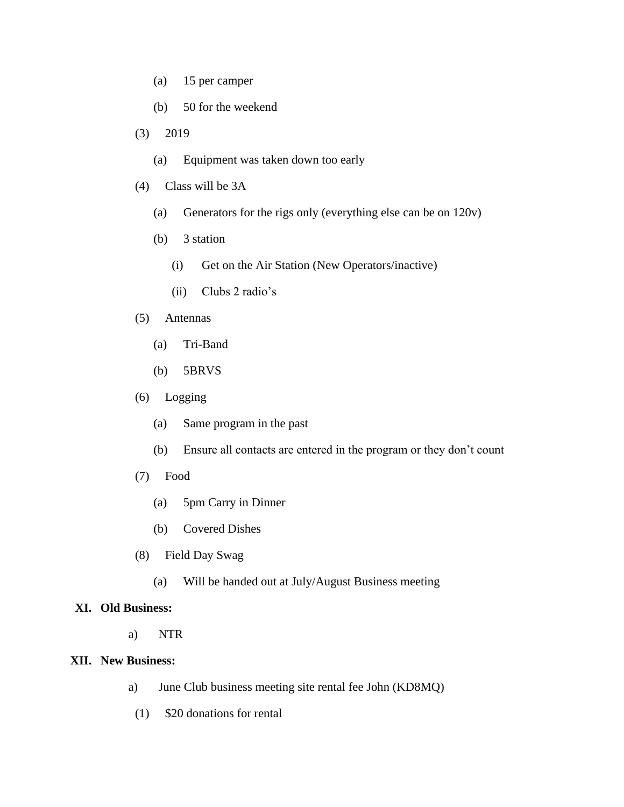- (a) 15 per camper
- (b) 50 for the weekend
- (3) 2019
	- (a) Equipment was taken down too early
- (4) Class will be 3A
	- (a) Generators for the rigs only (everything else can be on 120v)
	- (b) 3 station
		- (i) Get on the Air Station (New Operators/inactive)
		- (ii) Clubs 2 radio's

#### (5) Antennas

- (a) Tri-Band
- (b) 5BRVS

#### (6) Logging

- (a) Same program in the past
- (b) Ensure all contacts are entered in the program or they don't count
- (7) Food
	- (a) 5pm Carry in Dinner
	- (b) Covered Dishes
- (8) Field Day Swag
	- (a) Will be handed out at July/August Business meeting

#### **XI. Old Business:**

a) NTR

#### **XII. New Business:**

- a) June Club business meeting site rental fee John (KD8MQ)
- (1) \$20 donations for rental